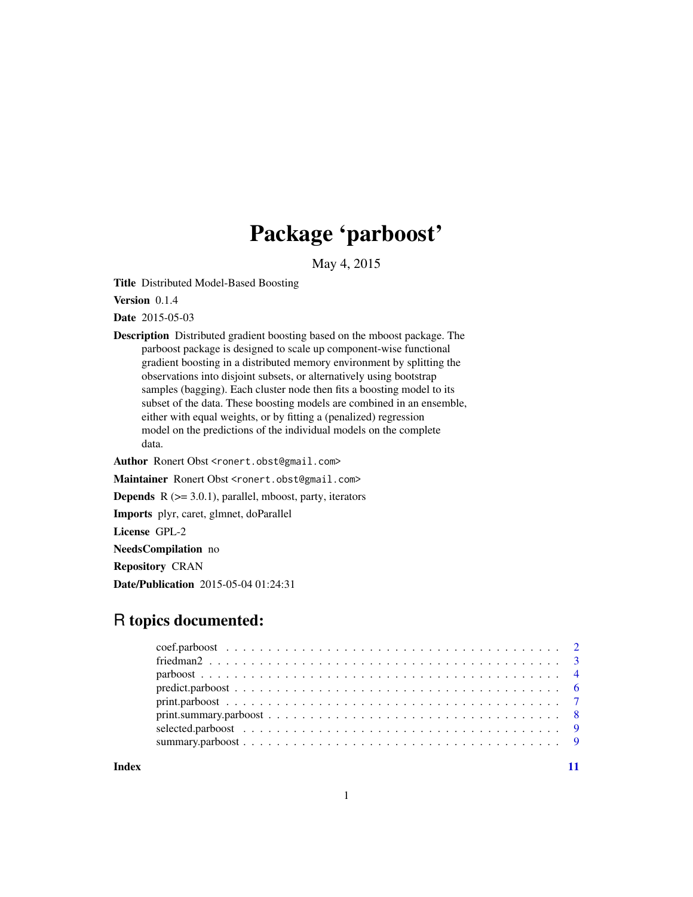## Package 'parboost'

May 4, 2015

<span id="page-0-0"></span>Title Distributed Model-Based Boosting

Version 0.1.4

Date 2015-05-03

Description Distributed gradient boosting based on the mboost package. The parboost package is designed to scale up component-wise functional gradient boosting in a distributed memory environment by splitting the observations into disjoint subsets, or alternatively using bootstrap samples (bagging). Each cluster node then fits a boosting model to its subset of the data. These boosting models are combined in an ensemble, either with equal weights, or by fitting a (penalized) regression model on the predictions of the individual models on the complete data.

Author Ronert Obst <ronert.obst@gmail.com>

Maintainer Ronert Obst <ronert.obst@gmail.com>

**Depends**  $R$  ( $>= 3.0.1$ ), parallel, mboost, party, iterators

Imports plyr, caret, glmnet, doParallel

License GPL-2

NeedsCompilation no

Repository CRAN

Date/Publication 2015-05-04 01:24:31

## R topics documented:

| $parboost \dots \dots \dots \dots \dots \dots \dots \dots \dots \dots \dots \dots \dots \dots \dots \dots \dots \dots$                               |  |
|------------------------------------------------------------------------------------------------------------------------------------------------------|--|
|                                                                                                                                                      |  |
|                                                                                                                                                      |  |
| $print. \text{summary}, \text{parboost} \dots \dots \dots \dots \dots \dots \dots \dots \dots \dots \dots \dots \dots \dots \dots \dots \dots \dots$ |  |
|                                                                                                                                                      |  |
|                                                                                                                                                      |  |
|                                                                                                                                                      |  |

**Index** [11](#page-10-0)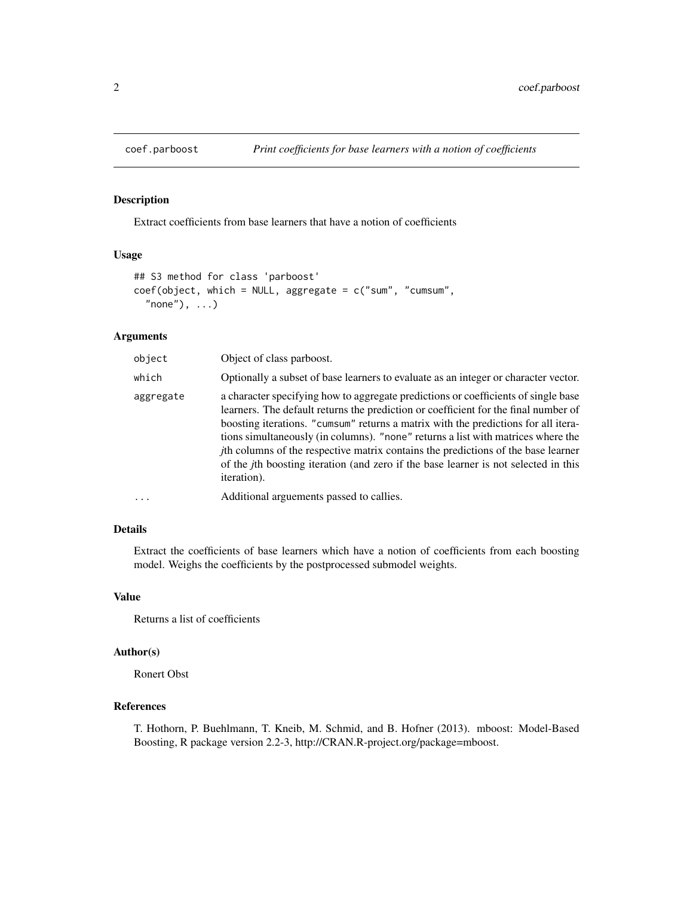<span id="page-1-0"></span>

## Description

Extract coefficients from base learners that have a notion of coefficients

## Usage

```
## S3 method for class 'parboost'
coef(object, which = NULL, aggregate = c("sum", "cumsum",
  "none"), \dots)
```
## Arguments

| object    | Object of class parboost.                                                                                                                                                                                                                                                                                                                                                                                                                                                                                                                                              |
|-----------|------------------------------------------------------------------------------------------------------------------------------------------------------------------------------------------------------------------------------------------------------------------------------------------------------------------------------------------------------------------------------------------------------------------------------------------------------------------------------------------------------------------------------------------------------------------------|
| which     | Optionally a subset of base learners to evaluate as an integer or character vector.                                                                                                                                                                                                                                                                                                                                                                                                                                                                                    |
| aggregate | a character specifying how to aggregate predictions or coefficients of single base<br>learners. The default returns the prediction or coefficient for the final number of<br>boosting iterations. "cumsum" returns a matrix with the predictions for all itera-<br>tions simultaneously (in columns). "none" returns a list with matrices where the<br><i>j</i> th columns of the respective matrix contains the predictions of the base learner<br>of the <i>j</i> th boosting iteration (and zero if the base learner is not selected in this<br><i>iteration</i> ). |
| $\cdot$   | Additional arguements passed to callies.                                                                                                                                                                                                                                                                                                                                                                                                                                                                                                                               |

## Details

Extract the coefficients of base learners which have a notion of coefficients from each boosting model. Weighs the coefficients by the postprocessed submodel weights.

## Value

Returns a list of coefficients

#### Author(s)

Ronert Obst

## References

T. Hothorn, P. Buehlmann, T. Kneib, M. Schmid, and B. Hofner (2013). mboost: Model-Based Boosting, R package version 2.2-3, http://CRAN.R-project.org/package=mboost.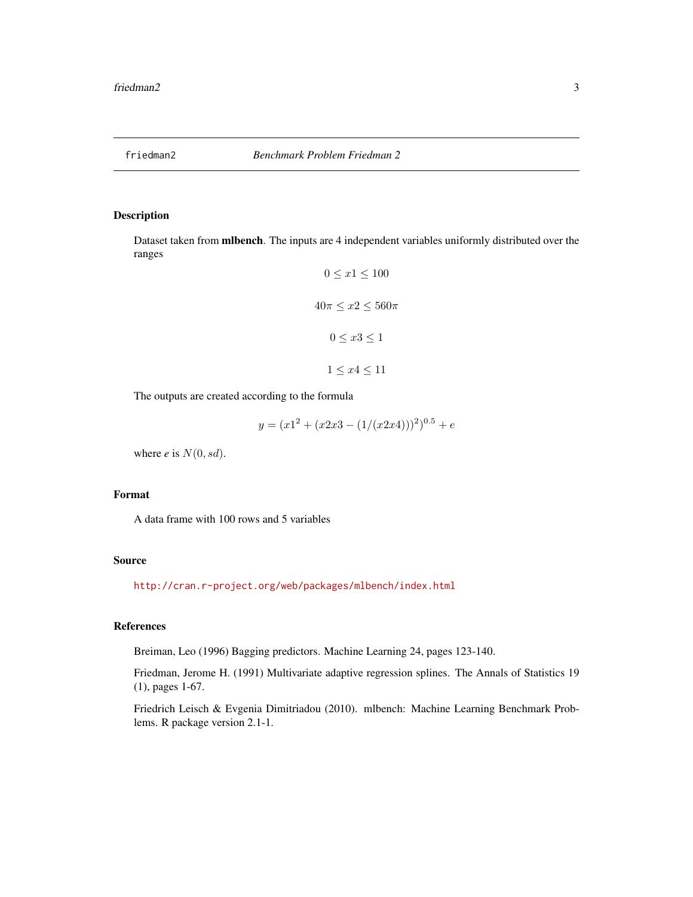<span id="page-2-0"></span>

#### Description

Dataset taken from mlbench. The inputs are 4 independent variables uniformly distributed over the ranges

$$
0 \le x1 \le 100
$$

$$
40\pi \le x2 \le 560\pi
$$

$$
0 \le x3 \le 1
$$

$$
1 \le x4 \le 11
$$

The outputs are created according to the formula

$$
y = (x12 + (x2x3 – (1/(x2x4)))2)0.5 + e
$$

where  $e$  is  $N(0, sd)$ .

## Format

A data frame with 100 rows and 5 variables

## Source

<http://cran.r-project.org/web/packages/mlbench/index.html>

## References

Breiman, Leo (1996) Bagging predictors. Machine Learning 24, pages 123-140.

Friedman, Jerome H. (1991) Multivariate adaptive regression splines. The Annals of Statistics 19 (1), pages 1-67.

Friedrich Leisch & Evgenia Dimitriadou (2010). mlbench: Machine Learning Benchmark Problems. R package version 2.1-1.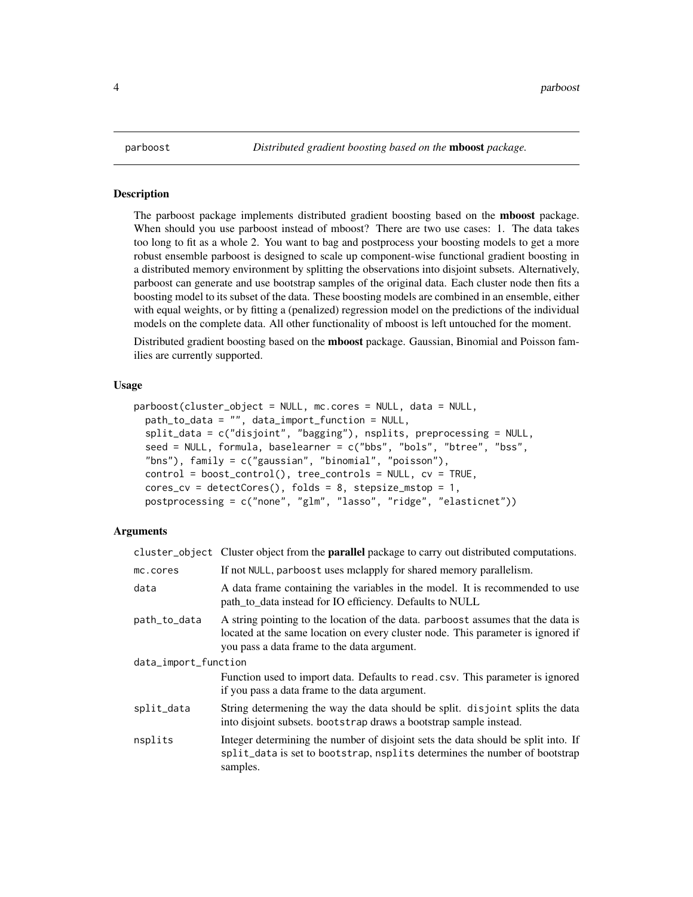<span id="page-3-0"></span>

#### **Description**

The parboost package implements distributed gradient boosting based on the mboost package. When should you use parboost instead of mboost? There are two use cases: 1. The data takes too long to fit as a whole 2. You want to bag and postprocess your boosting models to get a more robust ensemble parboost is designed to scale up component-wise functional gradient boosting in a distributed memory environment by splitting the observations into disjoint subsets. Alternatively, parboost can generate and use bootstrap samples of the original data. Each cluster node then fits a boosting model to its subset of the data. These boosting models are combined in an ensemble, either with equal weights, or by fitting a (penalized) regression model on the predictions of the individual models on the complete data. All other functionality of mboost is left untouched for the moment.

Distributed gradient boosting based on the **mboost** package. Gaussian, Binomial and Poisson families are currently supported.

#### Usage

```
parboost(cluster_object = NULL, mc.cores = NULL, data = NULL,
 path_to_data = "", data_import_function = NULL,
  split_data = c("disjoint", "bagging"), nsplits, preprocessing = NULL,
  seed = NULL, formula, baselearner = c("bbs", "bols", "btree", "bss",
  "bns"), family = c("gaussian", "binomial", "poisson"),
  control = boost_control(), tree_controls = NULL, cv = TRUE,
  cores_cv = detectCores(), folds = 8, stepsize_mstop = 1,
 postprocessing = c("none", "glm", "lasso", "ridge", "elasticnet"))
```
#### Arguments

cluster\_object Cluster object from the parallel package to carry out distributed computations.

| mc.cores             | If not NULL, parboost uses melapply for shared memory parallelism.                                                                                                                                                  |
|----------------------|---------------------------------------------------------------------------------------------------------------------------------------------------------------------------------------------------------------------|
| data                 | A data frame containing the variables in the model. It is recommended to use<br>path_to_data instead for IO efficiency. Defaults to NULL                                                                            |
| path_to_data         | A string pointing to the location of the data. parboost assumes that the data is<br>located at the same location on every cluster node. This parameter is ignored if<br>you pass a data frame to the data argument. |
| data_import_function |                                                                                                                                                                                                                     |
|                      | Function used to import data. Defaults to read.csv. This parameter is ignored<br>if you pass a data frame to the data argument.                                                                                     |
| split_data           | String determening the way the data should be split. disjoint splits the data<br>into disjoint subsets. bootstrap draws a bootstrap sample instead.                                                                 |
| nsplits              | Integer determining the number of disjoint sets the data should be split into. If<br>split_data is set to bootstrap, nsplits determines the number of bootstrap<br>samples.                                         |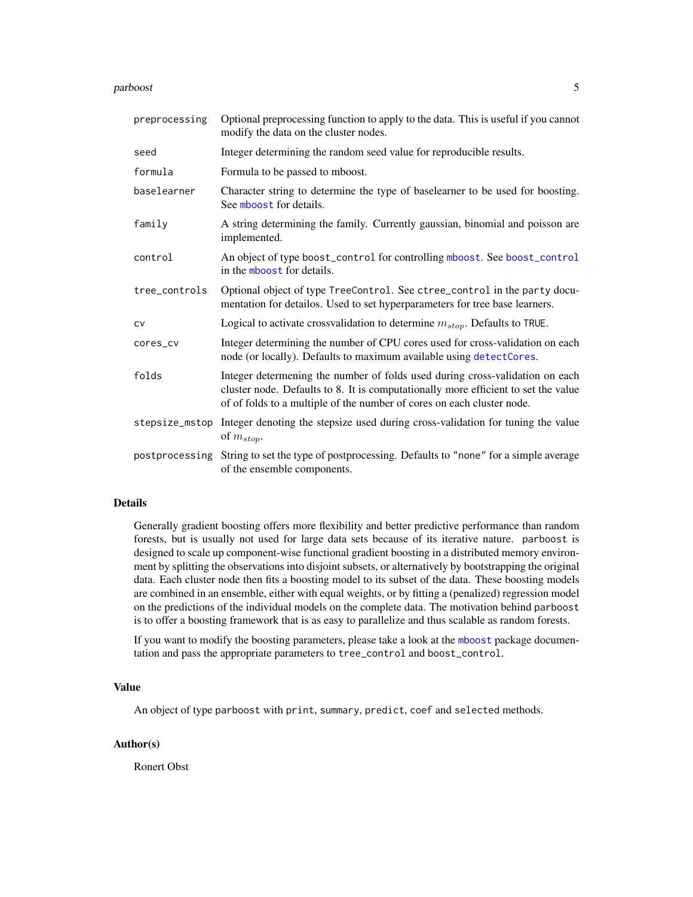#### <span id="page-4-0"></span>parboost 5 and 5 and 5 and 5 and 5 and 5 and 5 and 5 and 5 and 5 and 5 and 5 and 5 and 5 and 5 and 5 and 5 and 5 and 5 and 5 and 5 and 5 and 5 and 5 and 5 and 5 and 5 and 5 and 5 and 5 and 5 and 5 and 5 and 5 and 5 and 5 a

| preprocessing  | Optional preprocessing function to apply to the data. This is useful if you cannot<br>modify the data on the cluster nodes.                                                                                                                  |
|----------------|----------------------------------------------------------------------------------------------------------------------------------------------------------------------------------------------------------------------------------------------|
| seed           | Integer determining the random seed value for reproducible results.                                                                                                                                                                          |
| formula        | Formula to be passed to mboost.                                                                                                                                                                                                              |
| baselearner    | Character string to determine the type of baselearner to be used for boosting.<br>See mboost for details.                                                                                                                                    |
| family         | A string determining the family. Currently gaussian, binomial and poisson are<br>implemented.                                                                                                                                                |
| control        | An object of type boost_control for controlling mboost. See boost_control<br>in the mboost for details.                                                                                                                                      |
| tree_controls  | Optional object of type TreeControl. See ctree_control in the party docu-<br>mentation for detailos. Used to set hyperparameters for tree base learners.                                                                                     |
| CV             | Logical to activate crossvalidation to determine $m_{stop}$ . Defaults to TRUE.                                                                                                                                                              |
| cores_cv       | Integer determining the number of CPU cores used for cross-validation on each<br>node (or locally). Defaults to maximum available using detectCores.                                                                                         |
| folds          | Integer determening the number of folds used during cross-validation on each<br>cluster node. Defaults to 8. It is computationally more efficient to set the value<br>of of folds to a multiple of the number of cores on each cluster node. |
|                | stepsize_mstop Integer denoting the stepsize used during cross-validation for tuning the value<br>of $m_{stop}$ .                                                                                                                            |
| postprocessing | String to set the type of postprocessing. Defaults to "none" for a simple average<br>of the ensemble components.                                                                                                                             |

#### Details

Generally gradient boosting offers more flexibility and better predictive performance than random forests, but is usually not used for large data sets because of its iterative nature. parboost is designed to scale up component-wise functional gradient boosting in a distributed memory environment by splitting the observations into disjoint subsets, or alternatively by bootstrapping the original data. Each cluster node then fits a boosting model to its subset of the data. These boosting models are combined in an ensemble, either with equal weights, or by fitting a (penalized) regression model on the predictions of the individual models on the complete data. The motivation behind parboost is to offer a boosting framework that is as easy to parallelize and thus scalable as random forests.

If you want to modify the boosting parameters, please take a look at the [mboost](#page-0-0) package documentation and pass the appropriate parameters to tree\_control and boost\_control.

#### Value

An object of type parboost with print, summary, predict, coef and selected methods.

#### Author(s)

Ronert Obst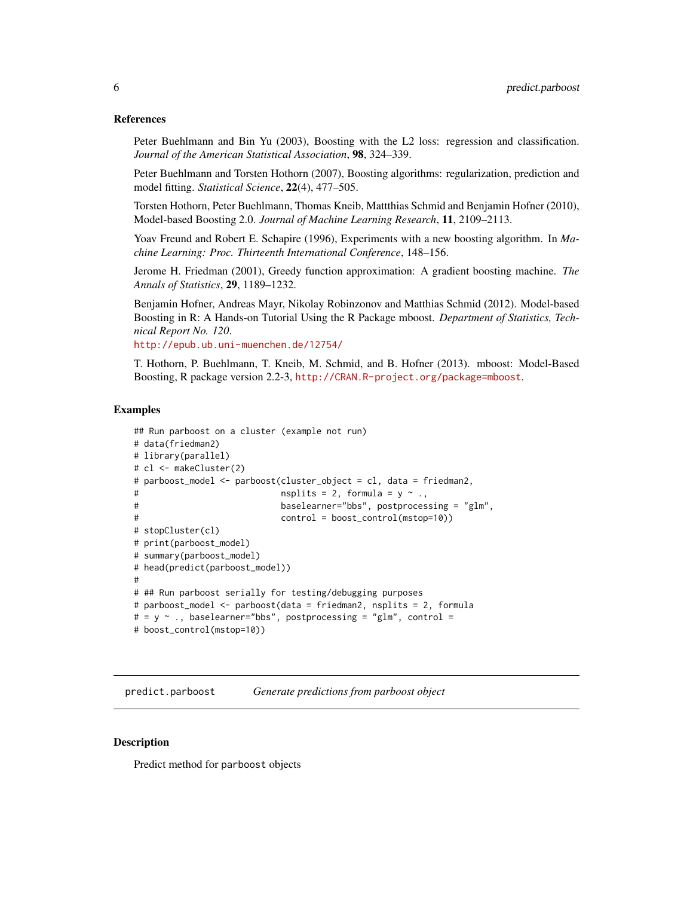#### <span id="page-5-0"></span>References

Peter Buehlmann and Bin Yu (2003), Boosting with the L2 loss: regression and classification. *Journal of the American Statistical Association*, 98, 324–339.

Peter Buehlmann and Torsten Hothorn (2007), Boosting algorithms: regularization, prediction and model fitting. *Statistical Science*, 22(4), 477–505.

Torsten Hothorn, Peter Buehlmann, Thomas Kneib, Mattthias Schmid and Benjamin Hofner (2010), Model-based Boosting 2.0. *Journal of Machine Learning Research*, 11, 2109–2113.

Yoav Freund and Robert E. Schapire (1996), Experiments with a new boosting algorithm. In *Machine Learning: Proc. Thirteenth International Conference*, 148–156.

Jerome H. Friedman (2001), Greedy function approximation: A gradient boosting machine. *The Annals of Statistics*, 29, 1189–1232.

Benjamin Hofner, Andreas Mayr, Nikolay Robinzonov and Matthias Schmid (2012). Model-based Boosting in R: A Hands-on Tutorial Using the R Package mboost. *Department of Statistics, Technical Report No. 120*.

<http://epub.ub.uni-muenchen.de/12754/>

T. Hothorn, P. Buehlmann, T. Kneib, M. Schmid, and B. Hofner (2013). mboost: Model-Based Boosting, R package version 2.2-3, <http://CRAN.R-project.org/package=mboost>.

#### Examples

```
## Run parboost on a cluster (example not run)
# data(friedman2)
# library(parallel)
# cl <- makeCluster(2)
# parboost_model <- parboost(cluster_object = cl, data = friedman2,
                           nsplits = 2, formula = y ~ .,
# baselearner="bbs", postprocessing = "glm",
# control = boost_control(mstop=10))
# stopCluster(cl)
# print(parboost_model)
# summary(parboost_model)
# head(predict(parboost_model))
#
# ## Run parboost serially for testing/debugging purposes
# parboost_model <- parboost(data = friedman2, nsplits = 2, formula
# = y \sim ., baselearner="bbs", postprocessing = "glm", control =
# boost_control(mstop=10))
```
predict.parboost *Generate predictions from parboost object*

## Description

Predict method for parboost objects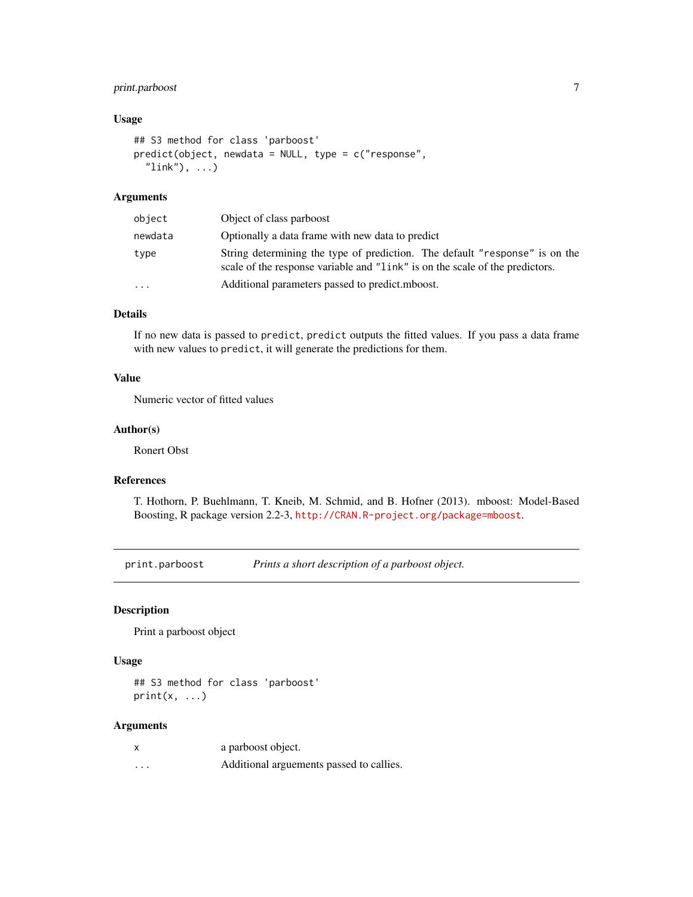## <span id="page-6-0"></span>print.parboost 7

## Usage

```
## S3 method for class 'parboost'
predict(object, newdata = NULL, type = c("response",
  "link"), ...)
```
#### Arguments

| object  | Object of class parboost                                                                                                                                    |
|---------|-------------------------------------------------------------------------------------------------------------------------------------------------------------|
| newdata | Optionally a data frame with new data to predict                                                                                                            |
| type    | String determining the type of prediction. The default "response" is on the<br>scale of the response variable and "link" is on the scale of the predictors. |
| .       | Additional parameters passed to predict.mboost.                                                                                                             |

## Details

If no new data is passed to predict, predict outputs the fitted values. If you pass a data frame with new values to predict, it will generate the predictions for them.

## Value

Numeric vector of fitted values

## Author(s)

Ronert Obst

## References

T. Hothorn, P. Buehlmann, T. Kneib, M. Schmid, and B. Hofner (2013). mboost: Model-Based Boosting, R package version 2.2-3, <http://CRAN.R-project.org/package=mboost>.

print.parboost *Prints a short description of a parboost object.*

## Description

Print a parboost object

## Usage

## S3 method for class 'parboost'  $print(x, \ldots)$ 

#### Arguments

|          | a parboost object.                       |
|----------|------------------------------------------|
| $\cdots$ | Additional arguements passed to callies. |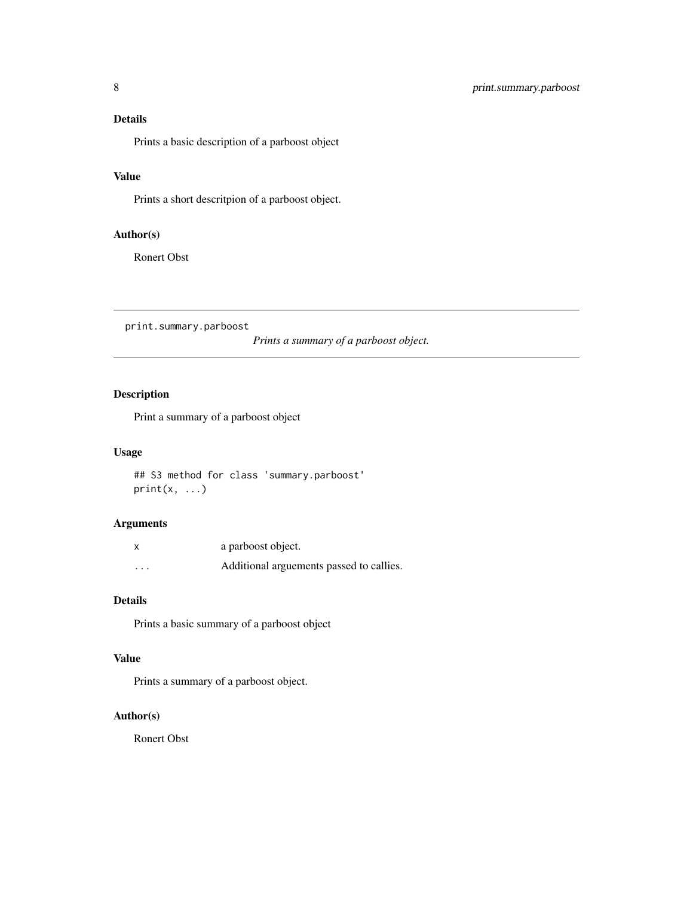## <span id="page-7-0"></span>Details

Prints a basic description of a parboost object

## Value

Prints a short descritpion of a parboost object.

## Author(s)

Ronert Obst

print.summary.parboost

*Prints a summary of a parboost object.*

## Description

Print a summary of a parboost object

## Usage

## S3 method for class 'summary.parboost'  $print(x, \ldots)$ 

## Arguments

| X        | a parboost object.                       |
|----------|------------------------------------------|
| $\cdots$ | Additional arguements passed to callies. |

#### Details

Prints a basic summary of a parboost object

## Value

Prints a summary of a parboost object.

## Author(s)

Ronert Obst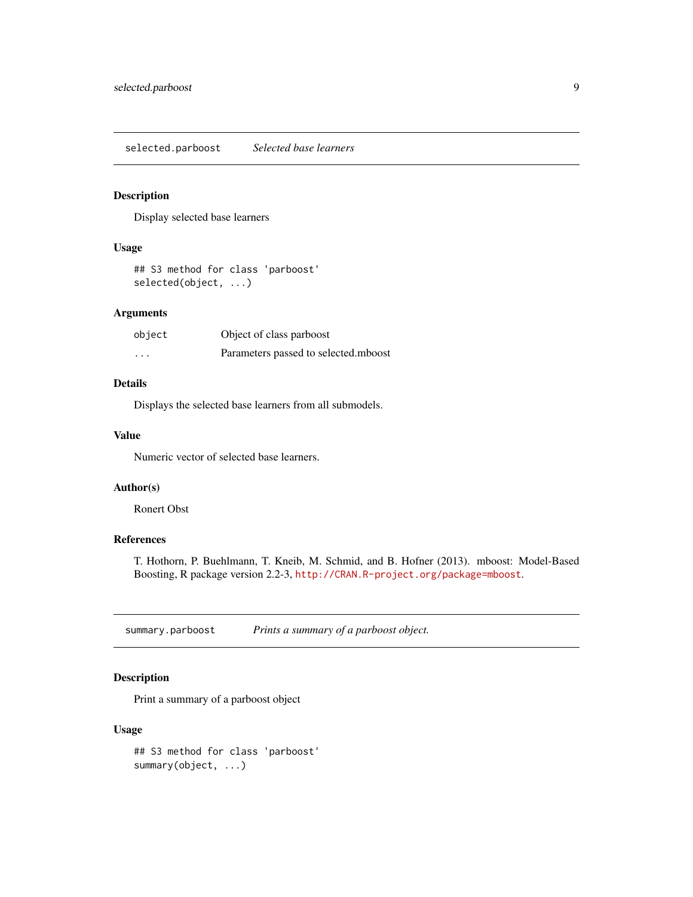<span id="page-8-0"></span>selected.parboost *Selected base learners*

## Description

Display selected base learners

## Usage

```
## S3 method for class 'parboost'
selected(object, ...)
```
#### Arguments

| object   | Object of class parboost             |
|----------|--------------------------------------|
| $\cdots$ | Parameters passed to selected.mboost |

## Details

Displays the selected base learners from all submodels.

## Value

Numeric vector of selected base learners.

#### Author(s)

Ronert Obst

## References

T. Hothorn, P. Buehlmann, T. Kneib, M. Schmid, and B. Hofner (2013). mboost: Model-Based Boosting, R package version 2.2-3, <http://CRAN.R-project.org/package=mboost>.

summary.parboost *Prints a summary of a parboost object.*

## Description

Print a summary of a parboost object

## Usage

## S3 method for class 'parboost' summary(object, ...)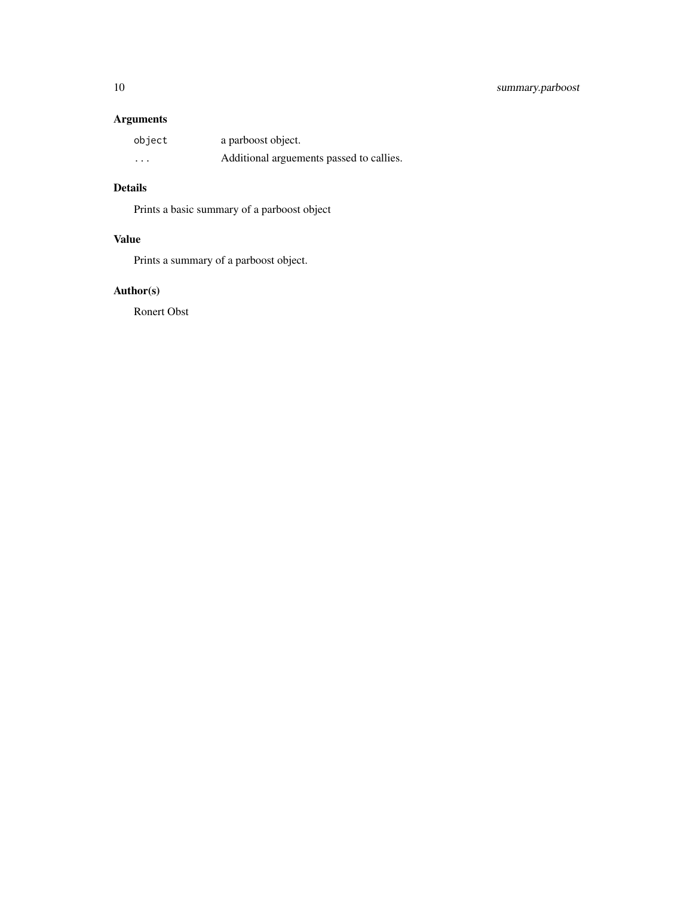## Arguments

| object   | a parboost object.                       |
|----------|------------------------------------------|
| $\cdots$ | Additional arguements passed to callies. |

## Details

Prints a basic summary of a parboost object

## Value

Prints a summary of a parboost object.

## Author(s)

Ronert Obst